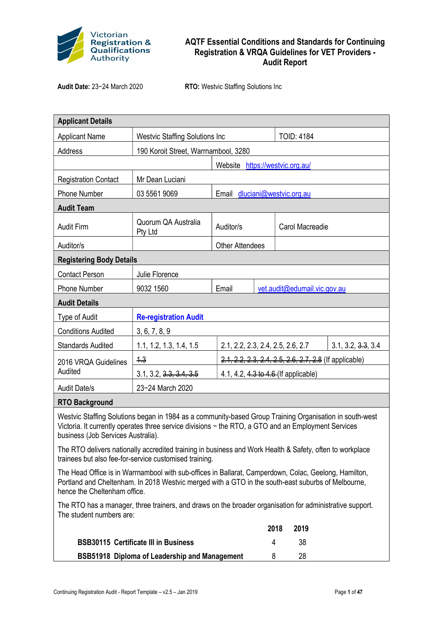

## AQTF Essential Conditions and Standards for Continuing Registration & VRQA Guidelines for VET Providers - Audit Report

Audit Date: 23−24 March 2020 RTO: Westvic Staffing Solutions Inc

| <b>Applicant Details</b>                                                                                                                                                                                                                             |                                       |                                                        |      |                   |      |                    |
|------------------------------------------------------------------------------------------------------------------------------------------------------------------------------------------------------------------------------------------------------|---------------------------------------|--------------------------------------------------------|------|-------------------|------|--------------------|
| <b>Applicant Name</b>                                                                                                                                                                                                                                | <b>Westvic Staffing Solutions Inc</b> |                                                        |      | <b>TOID: 4184</b> |      |                    |
| Address                                                                                                                                                                                                                                              | 190 Koroit Street, Warrnambool, 3280  |                                                        |      |                   |      |                    |
|                                                                                                                                                                                                                                                      | Website<br>https://westvic.org.au/    |                                                        |      |                   |      |                    |
| <b>Registration Contact</b>                                                                                                                                                                                                                          | Mr Dean Luciani                       |                                                        |      |                   |      |                    |
| <b>Phone Number</b>                                                                                                                                                                                                                                  | 03 5561 9069                          | dluciani@westvic.org.au<br>Email                       |      |                   |      |                    |
| <b>Audit Team</b>                                                                                                                                                                                                                                    |                                       |                                                        |      |                   |      |                    |
| <b>Audit Firm</b>                                                                                                                                                                                                                                    | Quorum QA Australia<br>Pty Ltd        | Auditor/s<br>Carol Macreadie                           |      |                   |      |                    |
| Auditor/s                                                                                                                                                                                                                                            |                                       | <b>Other Attendees</b>                                 |      |                   |      |                    |
| <b>Registering Body Details</b>                                                                                                                                                                                                                      |                                       |                                                        |      |                   |      |                    |
| <b>Contact Person</b>                                                                                                                                                                                                                                | Julie Florence                        |                                                        |      |                   |      |                    |
| <b>Phone Number</b>                                                                                                                                                                                                                                  | 9032 1560                             | Email<br>vet.audit@edumail.vic.gov.au                  |      |                   |      |                    |
| <b>Audit Details</b>                                                                                                                                                                                                                                 |                                       |                                                        |      |                   |      |                    |
| Type of Audit                                                                                                                                                                                                                                        | <b>Re-registration Audit</b>          |                                                        |      |                   |      |                    |
| <b>Conditions Audited</b>                                                                                                                                                                                                                            | 3, 6, 7, 8, 9                         |                                                        |      |                   |      |                    |
| <b>Standards Audited</b>                                                                                                                                                                                                                             | 1.1, 1.2, 1.3, 1.4, 1.5               | 2.1, 2.2, 2.3, 2.4, 2.5, 2.6, 2.7                      |      |                   |      | 3.1, 3.2, 3.3, 3.4 |
| 2016 VRQA Guidelines                                                                                                                                                                                                                                 | 4.3                                   | 2.1, 2.2, 2.3, 2.4, 2.5, 2.6, 2.7, 2.8 (If applicable) |      |                   |      |                    |
| Audited                                                                                                                                                                                                                                              | 3.1, 3.2, 3.3, 3.4, 3.5               | 4.1, 4.2, 4.3 to 4.6 (If applicable)                   |      |                   |      |                    |
| <b>Audit Date/s</b>                                                                                                                                                                                                                                  | 23-24 March 2020                      |                                                        |      |                   |      |                    |
| <b>RTO Background</b>                                                                                                                                                                                                                                |                                       |                                                        |      |                   |      |                    |
| Westvic Staffing Solutions began in 1984 as a community-based Group Training Organisation in south-west<br>Victoria. It currently operates three service divisions - the RTO, a GTO and an Employment Services<br>business (Job Services Australia). |                                       |                                                        |      |                   |      |                    |
| The RTO delivers nationally accredited training in business and Work Health & Safety, often to workplace<br>trainees but also fee-for-service customised training.                                                                                   |                                       |                                                        |      |                   |      |                    |
| The Head Office is in Warrnambool with sub-offices in Ballarat, Camperdown, Colac, Geelong, Hamilton,<br>Portland and Cheltenham. In 2018 Westvic merged with a GTO in the south-east suburbs of Melbourne,<br>hence the Cheltenham office.          |                                       |                                                        |      |                   |      |                    |
| The RTO has a manager, three trainers, and draws on the broader organisation for administrative support.<br>The student numbers are:                                                                                                                 |                                       |                                                        |      |                   |      |                    |
|                                                                                                                                                                                                                                                      |                                       |                                                        | 2018 |                   | 2019 |                    |
| <b>BSB30115 Certificate III in Business</b>                                                                                                                                                                                                          |                                       |                                                        | 4    |                   | 38   |                    |
| BSB51918 Diploma of Leadership and Management                                                                                                                                                                                                        |                                       |                                                        | 8    |                   | 28   |                    |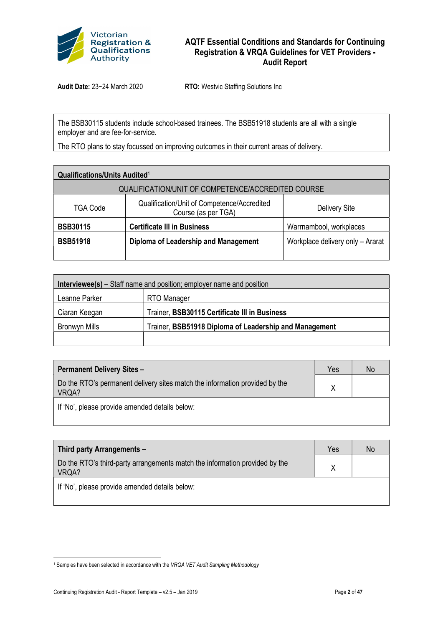

## AQTF Essential Conditions and Standards for Continuing Registration & VRQA Guidelines for VET Providers - Audit Report

Audit Date: 23−24 March 2020 RTO: Westvic Staffing Solutions Inc

The BSB30115 students include school-based trainees. The BSB51918 students are all with a single employer and are fee-for-service.

The RTO plans to stay focussed on improving outcomes in their current areas of delivery.

| <b>Qualifications/Units Audited1</b>               |                                                                    |                                  |  |  |  |
|----------------------------------------------------|--------------------------------------------------------------------|----------------------------------|--|--|--|
| QUALIFICATION/UNIT OF COMPETENCE/ACCREDITED COURSE |                                                                    |                                  |  |  |  |
| TGA Code                                           | Qualification/Unit of Competence/Accredited<br>Course (as per TGA) | <b>Delivery Site</b>             |  |  |  |
| <b>BSB30115</b>                                    | <b>Certificate III in Business</b>                                 | Warrnambool, workplaces          |  |  |  |
| <b>BSB51918</b>                                    | Diploma of Leadership and Management                               | Workplace delivery only - Ararat |  |  |  |
|                                                    |                                                                    |                                  |  |  |  |

| <b>Interviewee(s)</b> – Staff name and position; employer name and position |                                                        |  |  |  |
|-----------------------------------------------------------------------------|--------------------------------------------------------|--|--|--|
| Leanne Parker                                                               | RTO Manager                                            |  |  |  |
| Ciaran Keegan                                                               | Trainer, BSB30115 Certificate III in Business          |  |  |  |
| Bronwyn Mills                                                               | Trainer, BSB51918 Diploma of Leadership and Management |  |  |  |
|                                                                             |                                                        |  |  |  |

| <b>Permanent Delivery Sites -</b>                                                    | Yes | No |
|--------------------------------------------------------------------------------------|-----|----|
| Do the RTO's permanent delivery sites match the information provided by the<br>VRQA? |     |    |
| If 'No', please provide amended details below:                                       |     |    |

| Third party Arrangements -                                                           | Yes | <b>No</b> |
|--------------------------------------------------------------------------------------|-----|-----------|
| Do the RTO's third-party arrangements match the information provided by the<br>VRQA? |     |           |
| If 'No', please provide amended details below:                                       |     |           |

<sup>&</sup>lt;sup>1</sup> Samples have been selected in accordance with the VRQA VET Audit Sampling Methodology